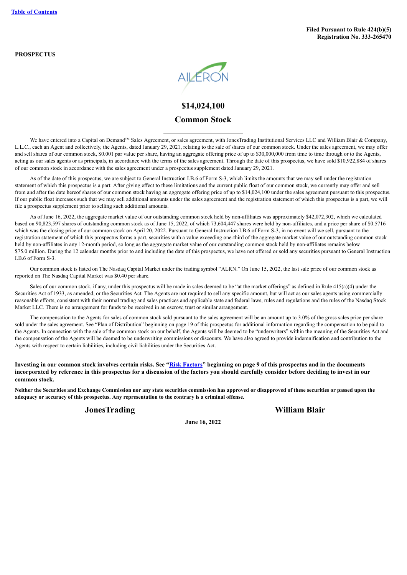**PROSPECTUS**



## **\$14,024,100 Common Stock**

We have entered into a Capital on Demand™ Sales Agreement, or sales agreement, with JonesTrading Institutional Services LLC and William Blair & Company, L.L.C., each an Agent and collectively, the Agents, dated January 29, 2021, relating to the sale of shares of our common stock. Under the sales agreement, we may offer and sell shares of our common stock, \$0.001 par value per share, having an aggregate offering price of up to \$30,000,000 from time to time through or to the Agents, acting as our sales agents or as principals, in accordance with the terms of the sales agreement. Through the date of this prospectus, we have sold \$10,922,884 of shares of our common stock in accordance with the sales agreement under a prospectus supplement dated January 29, 2021.

As of the date of this prospectus, we are subject to General Instruction I.B.6 of Form S-3, which limits the amounts that we may sell under the registration statement of which this prospectus is a part. After giving effect to these limitations and the current public float of our common stock, we currently may offer and sell from and after the date hereof shares of our common stock having an aggregate offering price of up to \$14,024,100 under the sales agreement pursuant to this prospectus. If our public float increases such that we may sell additional amounts under the sales agreement and the registration statement of which this prospectus is a part, we will file a prospectus supplement prior to selling such additional amounts.

As of June 16, 2022, the aggregate market value of our outstanding common stock held by non-affiliates was approximately \$42,072,302, which we calculated based on 90,823,597 shares of outstanding common stock as of June 15, 2022, of which 73,604,447 shares were held by non-affiliates, and a price per share of \$0.5716 which was the closing price of our common stock on April 20, 2022. Pursuant to General Instruction I.B.6 of Form S-3, in no event will we sell, pursuant to the registration statement of which this prospectus forms a part, securities with a value exceeding one-third of the aggregate market value of our outstanding common stock held by non-affiliates in any 12-month period, so long as the aggregate market value of our outstanding common stock held by non-affiliates remains below \$75.0 million. During the 12 calendar months prior to and including the date of this prospectus, we have not offered or sold any securities pursuant to General Instruction I.B.6 of Form S-3.

Our common stock is listed on The Nasdaq Capital Market under the trading symbol "ALRN." On June 15, 2022, the last sale price of our common stock as reported on The Nasdaq Capital Market was \$0.40 per share.

Sales of our common stock, if any, under this prospectus will be made in sales deemed to be "at the market offerings" as defined in Rule 415(a)(4) under the Securities Act of 1933, as amended, or the Securities Act. The Agents are not required to sell any specific amount, but will act as our sales agents using commercially reasonable efforts, consistent with their normal trading and sales practices and applicable state and federal laws, rules and regulations and the rules of the Nasdaq Stock Market LLC. There is no arrangement for funds to be received in an escrow, trust or similar arrangement.

The compensation to the Agents for sales of common stock sold pursuant to the sales agreement will be an amount up to 3.0% of the gross sales price per share sold under the sales agreement. See "Plan of Distribution" beginning on page 19 of this prospectus for additional information regarding the compensation to be paid to the Agents. In connection with the sale of the common stock on our behalf, the Agents will be deemed to be "underwriters" within the meaning of the Securities Act and the compensation of the Agents will be deemed to be underwriting commissions or discounts. We have also agreed to provide indemnification and contribution to the Agents with respect to certain liabilities, including civil liabilities under the Securities Act.

Investing in our common stock involves certain risks. See "Risk [Factors"](#page-10-0) beginning on page 9 of this prospectus and in the documents incorporated by reference in this prospectus for a discussion of the factors you should carefully consider before deciding to invest in our **common stock.**

**Neither the Securities and Exchange Commission nor any state securities commission has approved or disapproved of these securities or passed upon the adequacy or accuracy of this prospectus. Any representation to the contrary is a criminal offense.**

**JonesTrading William Blair**

**June 16, 2022**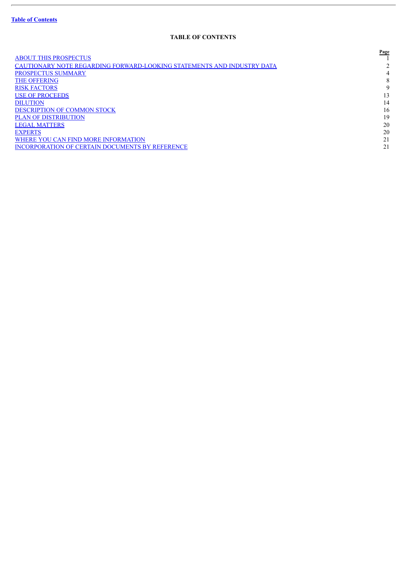ł.

## **TABLE OF CONTENTS**

<span id="page-1-0"></span>

|                                                                        | <b>Page</b> |
|------------------------------------------------------------------------|-------------|
| <b>ABOUT THIS PROSPECTUS</b>                                           |             |
| CAUTIONARY NOTE REGARDING FORWARD-LOOKING STATEMENTS AND INDUSTRY DATA |             |
| <b>PROSPECTUS SUMMARY</b>                                              | 4           |
| <b>THE OFFERING</b>                                                    | 8           |
| <b>RISK FACTORS</b>                                                    | 9           |
| <b>USE OF PROCEEDS</b>                                                 | 13          |
| <b>DILUTION</b>                                                        | 14          |
| <b>DESCRIPTION OF COMMON STOCK</b>                                     | 16          |
| <b>PLAN OF DISTRIBUTION</b>                                            | 19          |
| <b>LEGAL MATTERS</b>                                                   | 20          |
| <b>EXPERTS</b>                                                         | 20          |
| WHERE YOU CAN FIND MORE INFORMATION                                    | 21          |
| <b>INCORPORATION OF CERTAIN DOCUMENTS BY REFERENCE</b>                 | 21          |
|                                                                        |             |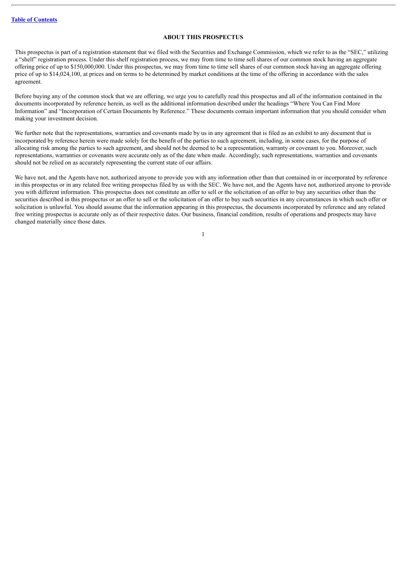## **ABOUT THIS PROSPECTUS**

<span id="page-2-0"></span>This prospectus is part of a registration statement that we filed with the Securities and Exchange Commission, which we refer to as the "SEC," utilizing a "shelf" registration process. Under this shelf registration process, we may from time to time sell shares of our common stock having an aggregate offering price of up to \$150,000,000. Under this prospectus, we may from time to time sell shares of our common stock having an aggregate offering price of up to \$14,024,100, at prices and on terms to be determined by market conditions at the time of the offering in accordance with the sales agreement.

Before buying any of the common stock that we are offering, we urge you to carefully read this prospectus and all of the information contained in the documents incorporated by reference herein, as well as the additional information described under the headings "Where You Can Find More Information" and "Incorporation of Certain Documents by Reference." These documents contain important information that you should consider when making your investment decision.

We further note that the representations, warranties and covenants made by us in any agreement that is filed as an exhibit to any document that is incorporated by reference herein were made solely for the benefit of the parties to such agreement, including, in some cases, for the purpose of allocating risk among the parties to such agreement, and should not be deemed to be a representation, warranty or covenant to you. Moreover, such representations, warranties or covenants were accurate only as of the date when made. Accordingly, such representations, warranties and covenants should not be relied on as accurately representing the current state of our affairs.

We have not, and the Agents have not, authorized anyone to provide you with any information other than that contained in or incorporated by reference in this prospectus or in any related free writing prospectus filed by us with the SEC. We have not, and the Agents have not, authorized anyone to provide you with different information. This prospectus does not constitute an offer to sell or the solicitation of an offer to buy any securities other than the securities described in this prospectus or an offer to sell or the solicitation of an offer to buy such securities in any circumstances in which such offer or solicitation is unlawful. You should assume that the information appearing in this prospectus, the documents incorporated by reference and any related free writing prospectus is accurate only as of their respective dates. Our business, financial condition, results of operations and prospects may have changed materially since those dates.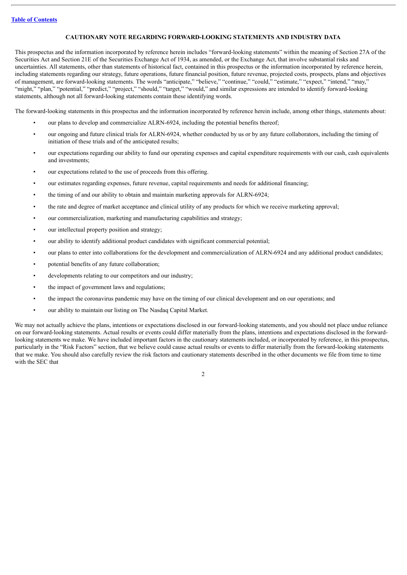## **CAUTIONARY NOTE REGARDING FORWARD-LOOKING STATEMENTS AND INDUSTRY DATA**

<span id="page-3-0"></span>This prospectus and the information incorporated by reference herein includes "forward-looking statements" within the meaning of Section 27A of the Securities Act and Section 21E of the Securities Exchange Act of 1934, as amended, or the Exchange Act, that involve substantial risks and uncertainties. All statements, other than statements of historical fact, contained in this prospectus or the information incorporated by reference herein, including statements regarding our strategy, future operations, future financial position, future revenue, projected costs, prospects, plans and objectives of management, are forward-looking statements. The words "anticipate," "believe," "continue," "could," "estimate," "expect," "intend," "may," "might," "plan," "potential," "predict," "project," "should," "target," "would," and similar expressions are intended to identify forward-looking statements, although not all forward-looking statements contain these identifying words.

The forward-looking statements in this prospectus and the information incorporated by reference herein include, among other things, statements about:

- our plans to develop and commercialize ALRN-6924, including the potential benefits thereof;
- our ongoing and future clinical trials for ALRN-6924, whether conducted by us or by any future collaborators, including the timing of initiation of these trials and of the anticipated results;
- our expectations regarding our ability to fund our operating expenses and capital expenditure requirements with our cash, cash equivalents and investments;
- our expectations related to the use of proceeds from this offering.
- our estimates regarding expenses, future revenue, capital requirements and needs for additional financing;
- the timing of and our ability to obtain and maintain marketing approvals for ALRN-6924;
- the rate and degree of market acceptance and clinical utility of any products for which we receive marketing approval;
- our commercialization, marketing and manufacturing capabilities and strategy;
- our intellectual property position and strategy;
- our ability to identify additional product candidates with significant commercial potential;
- our plans to enter into collaborations for the development and commercialization of ALRN-6924 and any additional product candidates;
- potential benefits of any future collaboration;
- developments relating to our competitors and our industry;
- the impact of government laws and regulations;
- the impact the coronavirus pandemic may have on the timing of our clinical development and on our operations; and
- our ability to maintain our listing on The Nasdaq Capital Market.

We may not actually achieve the plans, intentions or expectations disclosed in our forward-looking statements, and you should not place undue reliance on our forward-looking statements. Actual results or events could differ materially from the plans, intentions and expectations disclosed in the forwardlooking statements we make. We have included important factors in the cautionary statements included, or incorporated by reference, in this prospectus, particularly in the "Risk Factors" section, that we believe could cause actual results or events to differ materially from the forward-looking statements that we make. You should also carefully review the risk factors and cautionary statements described in the other documents we file from time to time with the SEC that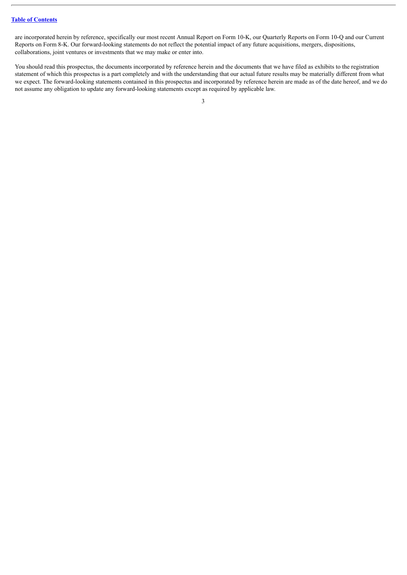are incorporated herein by reference, specifically our most recent Annual Report on Form 10-K, our Quarterly Reports on Form 10-Q and our Current Reports on Form 8-K. Our forward-looking statements do not reflect the potential impact of any future acquisitions, mergers, dispositions, collaborations, joint ventures or investments that we may make or enter into.

You should read this prospectus, the documents incorporated by reference herein and the documents that we have filed as exhibits to the registration statement of which this prospectus is a part completely and with the understanding that our actual future results may be materially different from what we expect. The forward-looking statements contained in this prospectus and incorporated by reference herein are made as of the date hereof, and we do not assume any obligation to update any forward-looking statements except as required by applicable law.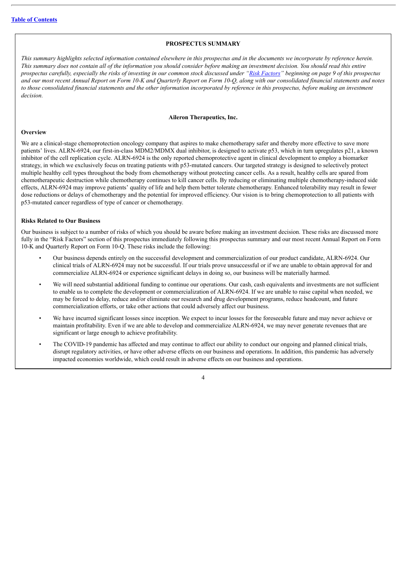#### **PROSPECTUS SUMMARY**

<span id="page-5-0"></span>This summary highlights selected information contained elsewhere in this prospectus and in the documents we incorporate by reference herein. This summary does not contain all of the information you should consider before making an investment decision. You should read this entire prospectus carefully, especially the risks of investing in our common stock discussed under "Risk [Factors"](#page-10-0) beginning on page 9 of this prospectus and our most recent Annual Report on Form 10-K and Quarterly Report on Form 10-O, along with our consolidated financial statements and notes to those consolidated financial statements and the other information incorporated by reference in this prospectus, before making an investment *decision.*

#### **Aileron Therapeutics, Inc.**

#### **Overview**

We are a clinical-stage chemoprotection oncology company that aspires to make chemotherapy safer and thereby more effective to save more patients' lives. ALRN-6924, our first-in-class MDM2/MDMX dual inhibitor, is designed to activate p53, which in turn upregulates p21, a known inhibitor of the cell replication cycle. ALRN-6924 is the only reported chemoprotective agent in clinical development to employ a biomarker strategy, in which we exclusively focus on treating patients with p53-mutated cancers. Our targeted strategy is designed to selectively protect multiple healthy cell types throughout the body from chemotherapy without protecting cancer cells. As a result, healthy cells are spared from chemotherapeutic destruction while chemotherapy continues to kill cancer cells. By reducing or eliminating multiple chemotherapy-induced side effects, ALRN-6924 may improve patients' quality of life and help them better tolerate chemotherapy. Enhanced tolerability may result in fewer dose reductions or delays of chemotherapy and the potential for improved efficiency. Our vision is to bring chemoprotection to all patients with p53-mutated cancer regardless of type of cancer or chemotherapy.

## **Risks Related to Our Business**

Our business is subject to a number of risks of which you should be aware before making an investment decision. These risks are discussed more fully in the "Risk Factors" section of this prospectus immediately following this prospectus summary and our most recent Annual Report on Form 10-K and Quarterly Report on Form 10-Q. These risks include the following:

- Our business depends entirely on the successful development and commercialization of our product candidate, ALRN-6924. Our clinical trials of ALRN-6924 may not be successful. If our trials prove unsuccessful or if we are unable to obtain approval for and commercialize ALRN-6924 or experience significant delays in doing so, our business will be materially harmed.
- We will need substantial additional funding to continue our operations. Our cash, cash equivalents and investments are not sufficient to enable us to complete the development or commercialization of ALRN-6924. If we are unable to raise capital when needed, we may be forced to delay, reduce and/or eliminate our research and drug development programs, reduce headcount, and future commercialization efforts, or take other actions that could adversely affect our business.
- We have incurred significant losses since inception. We expect to incur losses for the foreseeable future and may never achieve or maintain profitability. Even if we are able to develop and commercialize ALRN-6924, we may never generate revenues that are significant or large enough to achieve profitability.
- The COVID-19 pandemic has affected and may continue to affect our ability to conduct our ongoing and planned clinical trials, disrupt regulatory activities, or have other adverse effects on our business and operations. In addition, this pandemic has adversely impacted economies worldwide, which could result in adverse effects on our business and operations.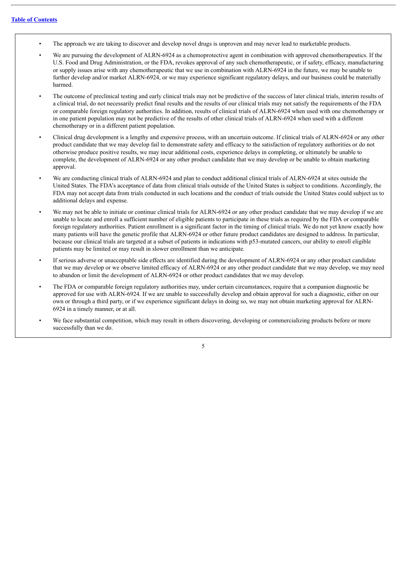- The approach we are taking to discover and develop novel drugs is unproven and may never lead to marketable products.
- We are pursuing the development of ALRN-6924 as a chemoprotective agent in combination with approved chemotherapeutics. If the U.S. Food and Drug Administration, or the FDA, revokes approval of any such chemotherapeutic, or if safety, efficacy, manufacturing or supply issues arise with any chemotherapeutic that we use in combination with ALRN-6924 in the future, we may be unable to further develop and/or market ALRN-6924, or we may experience significant regulatory delays, and our business could be materially harmed.
- The outcome of preclinical testing and early clinical trials may not be predictive of the success of later clinical trials, interim results of a clinical trial, do not necessarily predict final results and the results of our clinical trials may not satisfy the requirements of the FDA or comparable foreign regulatory authorities. In addition, results of clinical trials of ALRN-6924 when used with one chemotherapy or in one patient population may not be predictive of the results of other clinical trials of ALRN-6924 when used with a different chemotherapy or in a different patient population.
- Clinical drug development is a lengthy and expensive process, with an uncertain outcome. If clinical trials of ALRN-6924 or any other product candidate that we may develop fail to demonstrate safety and efficacy to the satisfaction of regulatory authorities or do not otherwise produce positive results, we may incur additional costs, experience delays in completing, or ultimately be unable to complete, the development of ALRN-6924 or any other product candidate that we may develop or be unable to obtain marketing approval.
- We are conducting clinical trials of ALRN-6924 and plan to conduct additional clinical trials of ALRN-6924 at sites outside the United States. The FDA's acceptance of data from clinical trials outside of the United States is subject to conditions. Accordingly, the FDA may not accept data from trials conducted in such locations and the conduct of trials outside the United States could subject us to additional delays and expense.
- We may not be able to initiate or continue clinical trials for ALRN-6924 or any other product candidate that we may develop if we are unable to locate and enroll a sufficient number of eligible patients to participate in these trials as required by the FDA or comparable foreign regulatory authorities. Patient enrollment is a significant factor in the timing of clinical trials. We do not yet know exactly how many patients will have the genetic profile that ALRN-6924 or other future product candidates are designed to address. In particular, because our clinical trials are targeted at a subset of patients in indications with p53-mutated cancers, our ability to enroll eligible patients may be limited or may result in slower enrollment than we anticipate.
- If serious adverse or unacceptable side effects are identified during the development of ALRN-6924 or any other product candidate that we may develop or we observe limited efficacy of ALRN-6924 or any other product candidate that we may develop, we may need to abandon or limit the development of ALRN-6924 or other product candidates that we may develop.
- The FDA or comparable foreign regulatory authorities may, under certain circumstances, require that a companion diagnostic be approved for use with ALRN-6924. If we are unable to successfully develop and obtain approval for such a diagnostic, either on our own or through a third party, or if we experience significant delays in doing so, we may not obtain marketing approval for ALRN-6924 in a timely manner, or at all.
- We face substantial competition, which may result in others discovering, developing or commercializing products before or more successfully than we do.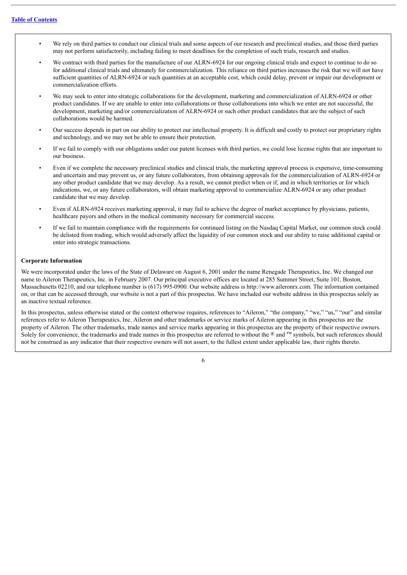- We rely on third parties to conduct our clinical trials and some aspects of our research and preclinical studies, and those third parties may not perform satisfactorily, including failing to meet deadlines for the completion of such trials, research and studies.
- We contract with third parties for the manufacture of our ALRN-6924 for our ongoing clinical trials and expect to continue to do so for additional clinical trials and ultimately for commercialization. This reliance on third parties increases the risk that we will not have sufficient quantities of ALRN-6924 or such quantities at an acceptable cost, which could delay, prevent or impair our development or commercialization efforts.
- We may seek to enter into strategic collaborations for the development, marketing and commercialization of ALRN-6924 or other product candidates. If we are unable to enter into collaborations or those collaborations into which we enter are not successful, the development, marketing and/or commercialization of ALRN-6924 or such other product candidates that are the subject of such collaborations would be harmed.
- Our success depends in part on our ability to protect our intellectual property. It is difficult and costly to protect our proprietary rights and technology, and we may not be able to ensure their protection.
- If we fail to comply with our obligations under our patent licenses with third parties, we could lose license rights that are important to our business.
- Even if we complete the necessary preclinical studies and clinical trials, the marketing approval process is expensive, time-consuming and uncertain and may prevent us, or any future collaborators, from obtaining approvals for the commercialization of ALRN-6924 or any other product candidate that we may develop. As a result, we cannot predict when or if, and in which territories or for which indications, we, or any future collaborators, will obtain marketing approval to commercialize ALRN-6924 or any other product candidate that we may develop.
- Even if ALRN-6924 receives marketing approval, it may fail to achieve the degree of market acceptance by physicians, patients, healthcare payors and others in the medical community necessary for commercial success.
- If we fail to maintain compliance with the requirements for continued listing on the Nasdaq Capital Market, our common stock could be delisted from trading, which would adversely affect the liquidity of our common stock and our ability to raise additional capital or enter into strategic transactions.

#### **Corporate Information**

We were incorporated under the laws of the State of Delaware on August 6, 2001 under the name Renegade Therapeutics, Inc. We changed our name to Aileron Therapeutics, Inc. in February 2007. Our principal executive offices are located at 285 Summer Street, Suite 101, Boston, Massachusetts 02210, and our telephone number is (617) 995-0900. Our website address is http://www.aileronrx.com. The information contained on, or that can be accessed through, our website is not a part of this prospectus. We have included our website address in this prospectus solely as an inactive textual reference.

In this prospectus, unless otherwise stated or the context otherwise requires, references to "Aileron," "the company," "we," "us," "our" and similar references refer to Aileron Therapeutics, Inc. Aileron and other trademarks or service marks of Aileron appearing in this prospectus are the property of Aileron. The other trademarks, trade names and service marks appearing in this prospectus are the property of their respective owners. Solely for convenience, the trademarks and trade names in this prospectus are referred to without the ® and ™ symbols, but such references should not be construed as any indicator that their respective owners will not assert, to the fullest extent under applicable law, their rights thereto.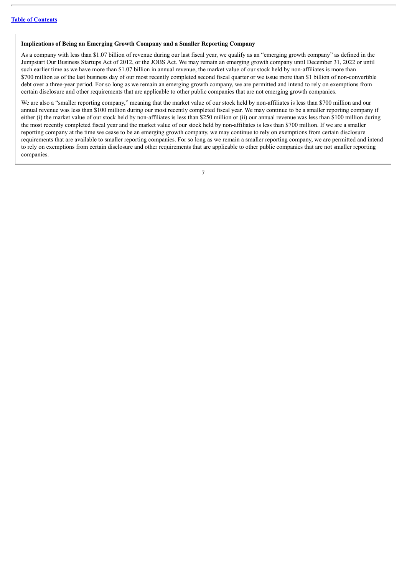#### **Implications of Being an Emerging Growth Company and a Smaller Reporting Company**

As a company with less than \$1.07 billion of revenue during our last fiscal year, we qualify as an "emerging growth company" as defined in the Jumpstart Our Business Startups Act of 2012, or the JOBS Act. We may remain an emerging growth company until December 31, 2022 or until such earlier time as we have more than \$1.07 billion in annual revenue, the market value of our stock held by non-affiliates is more than \$700 million as of the last business day of our most recently completed second fiscal quarter or we issue more than \$1 billion of non-convertible debt over a three-year period. For so long as we remain an emerging growth company, we are permitted and intend to rely on exemptions from certain disclosure and other requirements that are applicable to other public companies that are not emerging growth companies.

We are also a "smaller reporting company," meaning that the market value of our stock held by non-affiliates is less than \$700 million and our annual revenue was less than \$100 million during our most recently completed fiscal year. We may continue to be a smaller reporting company if either (i) the market value of our stock held by non-affiliates is less than \$250 million or (ii) our annual revenue was less than \$100 million during the most recently completed fiscal year and the market value of our stock held by non-affiliates is less than \$700 million. If we are a smaller reporting company at the time we cease to be an emerging growth company, we may continue to rely on exemptions from certain disclosure requirements that are available to smaller reporting companies. For so long as we remain a smaller reporting company, we are permitted and intend to rely on exemptions from certain disclosure and other requirements that are applicable to other public companies that are not smaller reporting companies.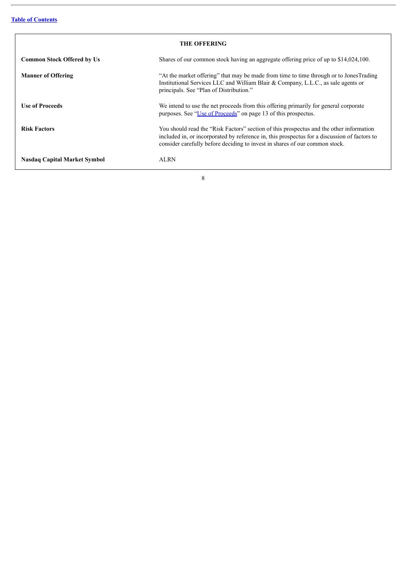<span id="page-9-0"></span>

| <b>THE OFFERING</b>                 |                                                                                                                                                                                                                                                                        |  |
|-------------------------------------|------------------------------------------------------------------------------------------------------------------------------------------------------------------------------------------------------------------------------------------------------------------------|--|
| <b>Common Stock Offered by Us</b>   | Shares of our common stock having an aggregate offering price of up to \$14,024,100.                                                                                                                                                                                   |  |
| <b>Manner of Offering</b>           | "At the market offering" that may be made from time to time through or to JonesTrading<br>Institutional Services LLC and William Blair & Company, L.L.C., as sale agents or<br>principals. See "Plan of Distribution."                                                 |  |
| <b>Use of Proceeds</b>              | We intend to use the net proceeds from this offering primarily for general corporate<br>purposes. See "Use of Proceeds" on page 13 of this prospectus.                                                                                                                 |  |
| <b>Risk Factors</b>                 | You should read the "Risk Factors" section of this prospectus and the other information<br>included in, or incorporated by reference in, this prospectus for a discussion of factors to<br>consider carefully before deciding to invest in shares of our common stock. |  |
| <b>Nasdaq Capital Market Symbol</b> | ALRN                                                                                                                                                                                                                                                                   |  |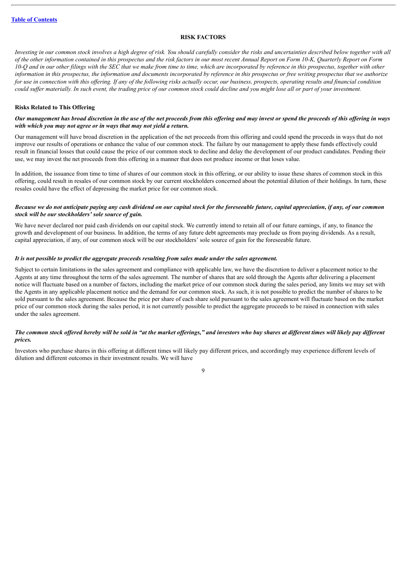#### **RISK FACTORS**

<span id="page-10-0"></span>Investing in our common stock involves a high degree of risk. You should carefully consider the risks and uncertainties described below together with all of the other information contained in this prospectus and the risk factors in our most recent Annual Report on Form 10-K, Quarterly Report on Form 10-O and in our other filings with the SEC that we make from time to time, which are incorporated by reference in this prospectus, together with other information in this prospectus, the information and documents incorporated by reference in this prospectus or free writing prospectus that we authorize for use in connection with this offering. If any of the following risks actually occur, our business, prospects, operating results and financial condition could suffer materially. In such event, the trading price of our common stock could decline and you might lose all or part of your investment.

#### **Risks Related to This Offering**

#### Our management has broad discretion in the use of the net proceeds from this offering and may invest or spend the proceeds of this offering in ways *with which you may not agree or in ways that may not yield a return.*

Our management will have broad discretion in the application of the net proceeds from this offering and could spend the proceeds in ways that do not improve our results of operations or enhance the value of our common stock. The failure by our management to apply these funds effectively could result in financial losses that could cause the price of our common stock to decline and delay the development of our product candidates. Pending their use, we may invest the net proceeds from this offering in a manner that does not produce income or that loses value.

In addition, the issuance from time to time of shares of our common stock in this offering, or our ability to issue these shares of common stock in this offering, could result in resales of our common stock by our current stockholders concerned about the potential dilution of their holdings. In turn, these resales could have the effect of depressing the market price for our common stock.

### Because we do not anticipate paying any cash dividend on our capital stock for the foreseeable future, capital appreciation, if any, of our common *stock will be our stockholders' sole source of gain.*

We have never declared nor paid cash dividends on our capital stock. We currently intend to retain all of our future earnings, if any, to finance the growth and development of our business. In addition, the terms of any future debt agreements may preclude us from paying dividends. As a result, capital appreciation, if any, of our common stock will be our stockholders' sole source of gain for the foreseeable future.

#### *It is not possible to predict the aggregate proceeds resulting from sales made under the sales agreement.*

Subject to certain limitations in the sales agreement and compliance with applicable law, we have the discretion to deliver a placement notice to the Agents at any time throughout the term of the sales agreement. The number of shares that are sold through the Agents after delivering a placement notice will fluctuate based on a number of factors, including the market price of our common stock during the sales period, any limits we may set with the Agents in any applicable placement notice and the demand for our common stock. As such, it is not possible to predict the number of shares to be sold pursuant to the sales agreement. Because the price per share of each share sold pursuant to the sales agreement will fluctuate based on the market price of our common stock during the sales period, it is not currently possible to predict the aggregate proceeds to be raised in connection with sales under the sales agreement.

#### The common stock offered hereby will be sold in "at the market offerings," and investors who buy shares at different times will likely pay different *prices.*

Investors who purchase shares in this offering at different times will likely pay different prices, and accordingly may experience different levels of dilution and different outcomes in their investment results. We will have

 $\overline{Q}$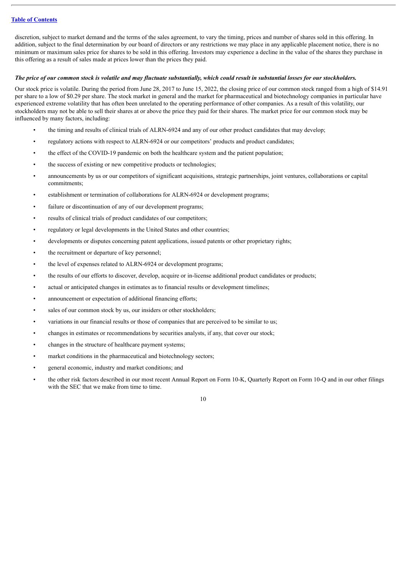discretion, subject to market demand and the terms of the sales agreement, to vary the timing, prices and number of shares sold in this offering. In addition, subject to the final determination by our board of directors or any restrictions we may place in any applicable placement notice, there is no minimum or maximum sales price for shares to be sold in this offering. Investors may experience a decline in the value of the shares they purchase in this offering as a result of sales made at prices lower than the prices they paid.

#### The price of our common stock is volatile and may fluctuate substantially, which could result in substantial losses for our stockholders.

Our stock price is volatile. During the period from June 28, 2017 to June 15, 2022, the closing price of our common stock ranged from a high of \$14.91 per share to a low of \$0.29 per share. The stock market in general and the market for pharmaceutical and biotechnology companies in particular have experienced extreme volatility that has often been unrelated to the operating performance of other companies. As a result of this volatility, our stockholders may not be able to sell their shares at or above the price they paid for their shares. The market price for our common stock may be influenced by many factors, including:

- the timing and results of clinical trials of ALRN-6924 and any of our other product candidates that may develop;
- regulatory actions with respect to ALRN-6924 or our competitors' products and product candidates;
- the effect of the COVID-19 pandemic on both the healthcare system and the patient population;
- the success of existing or new competitive products or technologies;
- announcements by us or our competitors of significant acquisitions, strategic partnerships, joint ventures, collaborations or capital commitments;
- establishment or termination of collaborations for ALRN-6924 or development programs;
- failure or discontinuation of any of our development programs;
- results of clinical trials of product candidates of our competitors;
- regulatory or legal developments in the United States and other countries;
- developments or disputes concerning patent applications, issued patents or other proprietary rights;
- the recruitment or departure of key personnel;
- the level of expenses related to ALRN-6924 or development programs;
- the results of our efforts to discover, develop, acquire or in-license additional product candidates or products;
- actual or anticipated changes in estimates as to financial results or development timelines;
- announcement or expectation of additional financing efforts;
- sales of our common stock by us, our insiders or other stockholders;
- variations in our financial results or those of companies that are perceived to be similar to us;
- changes in estimates or recommendations by securities analysts, if any, that cover our stock;
- changes in the structure of healthcare payment systems;
- market conditions in the pharmaceutical and biotechnology sectors;
- general economic, industry and market conditions; and
- the other risk factors described in our most recent Annual Report on Form 10-K, Quarterly Report on Form 10-Q and in our other filings with the SEC that we make from time to time.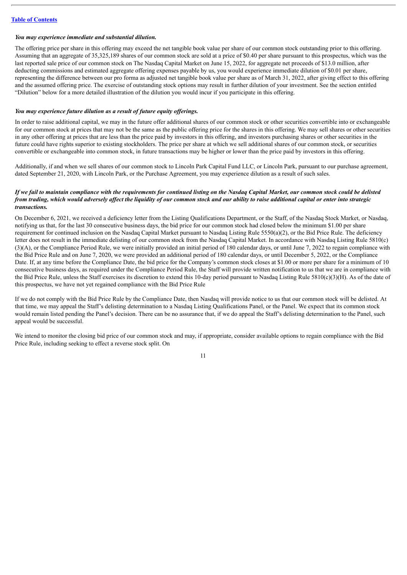#### *You may experience immediate and substantial dilution.*

The offering price per share in this offering may exceed the net tangible book value per share of our common stock outstanding prior to this offering. Assuming that an aggregate of 35,325,189 shares of our common stock are sold at a price of \$0.40 per share pursuant to this prospectus, which was the last reported sale price of our common stock on The Nasdaq Capital Market on June 15, 2022, for aggregate net proceeds of \$13.0 million, after deducting commissions and estimated aggregate offering expenses payable by us, you would experience immediate dilution of \$0.01 per share, representing the difference between our pro forma as adjusted net tangible book value per share as of March 31, 2022, after giving effect to this offering and the assumed offering price. The exercise of outstanding stock options may result in further dilution of your investment. See the section entitled "Dilution" below for a more detailed illustration of the dilution you would incur if you participate in this offering.

#### *You may experience future dilution as a result of future equity of erings.*

In order to raise additional capital, we may in the future offer additional shares of our common stock or other securities convertible into or exchangeable for our common stock at prices that may not be the same as the public offering price for the shares in this offering. We may sell shares or other securities in any other offering at prices that are less than the price paid by investors in this offering, and investors purchasing shares or other securities in the future could have rights superior to existing stockholders. The price per share at which we sell additional shares of our common stock, or securities convertible or exchangeable into common stock, in future transactions may be higher or lower than the price paid by investors in this offering.

Additionally, if and when we sell shares of our common stock to Lincoln Park Capital Fund LLC, or Lincoln Park, pursuant to our purchase agreement, dated September 21, 2020, with Lincoln Park, or the Purchase Agreement, you may experience dilution as a result of such sales.

#### If we fail to maintain compliance with the reauirements for continued listing on the Nasdaa Capital Market, our common stock could be delisted from trading, which would adversely affect the liquidity of our common stock and our ability to raise additional capital or enter into strategic *transactions.*

On December 6, 2021, we received a deficiency letter from the Listing Qualifications Department, or the Staff, of the Nasdaq Stock Market, or Nasdaq, notifying us that, for the last 30 consecutive business days, the bid price for our common stock had closed below the minimum \$1.00 per share requirement for continued inclusion on the Nasdaq Capital Market pursuant to Nasdaq Listing Rule 5550(a)(2), or the Bid Price Rule. The deficiency letter does not result in the immediate delisting of our common stock from the Nasdaq Capital Market. In accordance with Nasdaq Listing Rule 5810(c) (3)(A), or the Compliance Period Rule, we were initially provided an initial period of 180 calendar days, or until June 7, 2022 to regain compliance with the Bid Price Rule and on June 7, 2020, we were provided an additional period of 180 calendar days, or until December 5, 2022, or the Compliance Date. If, at any time before the Compliance Date, the bid price for the Company's common stock closes at \$1.00 or more per share for a minimum of 10 consecutive business days, as required under the Compliance Period Rule, the Staff will provide written notification to us that we are in compliance with the Bid Price Rule, unless the Staff exercises its discretion to extend this 10-day period pursuant to Nasdaq Listing Rule 5810(c)(3)(H). As of the date of this prospectus, we have not yet regained compliance with the Bid Price Rule

If we do not comply with the Bid Price Rule by the Compliance Date, then Nasdaq will provide notice to us that our common stock will be delisted. At that time, we may appeal the Staff's delisting determination to a Nasdaq Listing Qualifications Panel, or the Panel. We expect that its common stock would remain listed pending the Panel's decision. There can be no assurance that, if we do appeal the Staff's delisting determination to the Panel, such appeal would be successful.

We intend to monitor the closing bid price of our common stock and may, if appropriate, consider available options to regain compliance with the Bid Price Rule, including seeking to effect a reverse stock split. On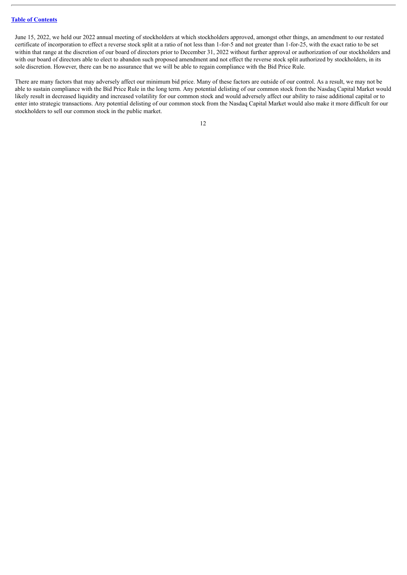June 15, 2022, we held our 2022 annual meeting of stockholders at which stockholders approved, amongst other things, an amendment to our restated certificate of incorporation to effect a reverse stock split at a ratio of not less than 1-for-5 and not greater than 1-for-25, with the exact ratio to be set within that range at the discretion of our board of directors prior to December 31, 2022 without further approval or authorization of our stockholders and with our board of directors able to elect to abandon such proposed amendment and not effect the reverse stock split authorized by stockholders, in its sole discretion. However, there can be no assurance that we will be able to regain compliance with the Bid Price Rule.

There are many factors that may adversely affect our minimum bid price. Many of these factors are outside of our control. As a result, we may not be able to sustain compliance with the Bid Price Rule in the long term. Any potential delisting of our common stock from the Nasdaq Capital Market would likely result in decreased liquidity and increased volatility for our common stock and would adversely affect our ability to raise additional capital or to enter into strategic transactions. Any potential delisting of our common stock from the Nasdaq Capital Market would also make it more difficult for our stockholders to sell our common stock in the public market.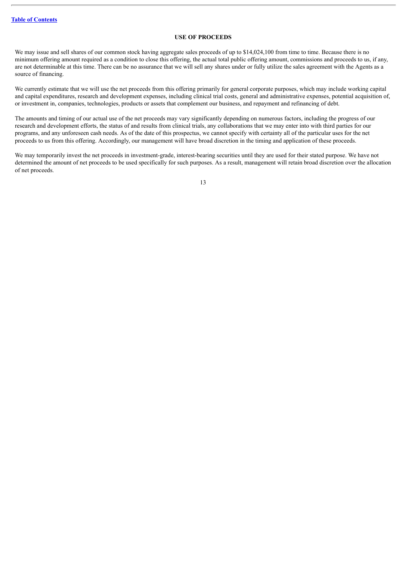## **USE OF PROCEEDS**

<span id="page-14-0"></span>We may issue and sell shares of our common stock having aggregate sales proceeds of up to \$14,024,100 from time to time. Because there is no minimum offering amount required as a condition to close this offering, the actual total public offering amount, commissions and proceeds to us, if any, are not determinable at this time. There can be no assurance that we will sell any shares under or fully utilize the sales agreement with the Agents as a source of financing.

We currently estimate that we will use the net proceeds from this offering primarily for general corporate purposes, which may include working capital and capital expenditures, research and development expenses, including clinical trial costs, general and administrative expenses, potential acquisition of, or investment in, companies, technologies, products or assets that complement our business, and repayment and refinancing of debt.

The amounts and timing of our actual use of the net proceeds may vary significantly depending on numerous factors, including the progress of our research and development efforts, the status of and results from clinical trials, any collaborations that we may enter into with third parties for our programs, and any unforeseen cash needs. As of the date of this prospectus, we cannot specify with certainty all of the particular uses for the net proceeds to us from this offering. Accordingly, our management will have broad discretion in the timing and application of these proceeds.

We may temporarily invest the net proceeds in investment-grade, interest-bearing securities until they are used for their stated purpose. We have not determined the amount of net proceeds to be used specifically for such purposes. As a result, management will retain broad discretion over the allocation of net proceeds.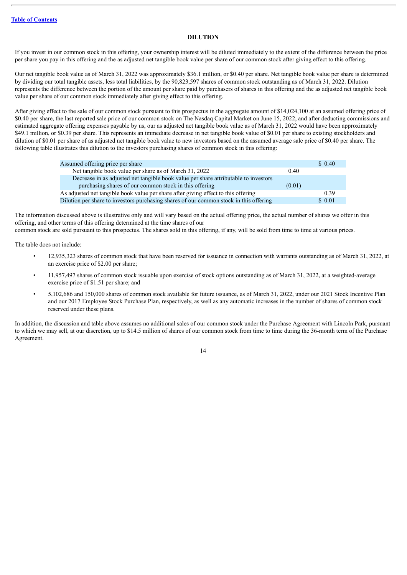## **DILUTION**

<span id="page-15-0"></span>If you invest in our common stock in this offering, your ownership interest will be diluted immediately to the extent of the difference between the price per share you pay in this offering and the as adjusted net tangible book value per share of our common stock after giving effect to this offering.

Our net tangible book value as of March 31, 2022 was approximately \$36.1 million, or \$0.40 per share. Net tangible book value per share is determined by dividing our total tangible assets, less total liabilities, by the 90,823,597 shares of common stock outstanding as of March 31, 2022. Dilution represents the difference between the portion of the amount per share paid by purchasers of shares in this offering and the as adjusted net tangible book value per share of our common stock immediately after giving effect to this offering.

After giving effect to the sale of our common stock pursuant to this prospectus in the aggregate amount of \$14,024,100 at an assumed offering price of \$0.40 per share, the last reported sale price of our common stock on The Nasdaq Capital Market on June 15, 2022, and after deducting commissions and estimated aggregate offering expenses payable by us, our as adjusted net tangible book value as of March 31, 2022 would have been approximately \$49.1 million, or \$0.39 per share. This represents an immediate decrease in net tangible book value of \$0.01 per share to existing stockholders and dilution of \$0.01 per share of as adjusted net tangible book value to new investors based on the assumed average sale price of \$0.40 per share. The following table illustrates this dilution to the investors purchasing shares of common stock in this offering:

| Assumed offering price per share                                                       |        | \$0.40 |
|----------------------------------------------------------------------------------------|--------|--------|
| Net tangible book value per share as of March 31, 2022                                 | 0.40   |        |
| Decrease in as adjusted net tangible book value per share attributable to investors    |        |        |
| purchasing shares of our common stock in this offering                                 | (0.01) |        |
| As adjusted net tangible book value per share after giving effect to this offering     |        | 0.39   |
| Dilution per share to investors purchasing shares of our common stock in this offering |        | \$0.01 |

The information discussed above is illustrative only and will vary based on the actual offering price, the actual number of shares we offer in this offering, and other terms of this offering determined at the time shares of our

common stock are sold pursuant to this prospectus. The shares sold in this offering, if any, will be sold from time to time at various prices.

The table does not include:

- 12,935,323 shares of common stock that have been reserved for issuance in connection with warrants outstanding as of March 31, 2022, at an exercise price of \$2.00 per share;
- 11,957,497 shares of common stock issuable upon exercise of stock options outstanding as of March 31, 2022, at a weighted-average exercise price of \$1.51 per share; and
- 5,102,686 and 150,000 shares of common stock available for future issuance, as of March 31, 2022, under our 2021 Stock Incentive Plan and our 2017 Employee Stock Purchase Plan, respectively, as well as any automatic increases in the number of shares of common stock reserved under these plans.

In addition, the discussion and table above assumes no additional sales of our common stock under the Purchase Agreement with Lincoln Park, pursuant to which we may sell, at our discretion, up to \$14.5 million of shares of our common stock from time to time during the 36-month term of the Purchase Agreement.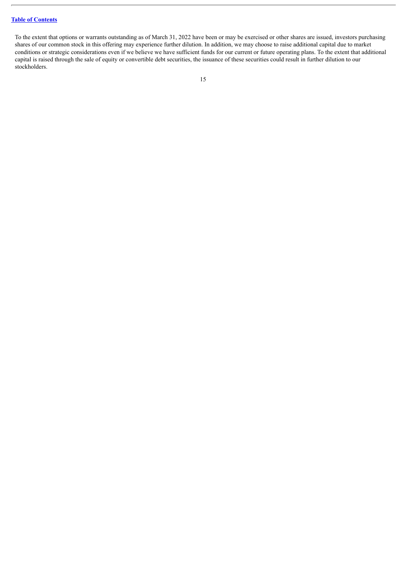To the extent that options or warrants outstanding as of March 31, 2022 have been or may be exercised or other shares are issued, investors purchasing shares of our common stock in this offering may experience further dilution. In addition, we may choose to raise additional capital due to market conditions or strategic considerations even if we believe we have sufficient funds for our current or future operating plans. To the extent that additional capital is raised through the sale of equity or convertible debt securities, the issuance of these securities could result in further dilution to our stockholders.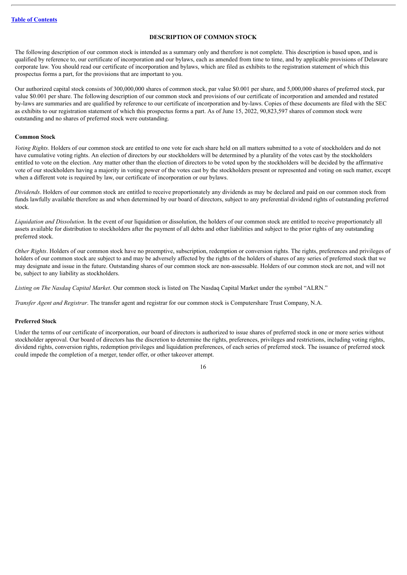## **DESCRIPTION OF COMMON STOCK**

<span id="page-17-0"></span>The following description of our common stock is intended as a summary only and therefore is not complete. This description is based upon, and is qualified by reference to, our certificate of incorporation and our bylaws, each as amended from time to time, and by applicable provisions of Delaware corporate law. You should read our certificate of incorporation and bylaws, which are filed as exhibits to the registration statement of which this prospectus forms a part, for the provisions that are important to you.

Our authorized capital stock consists of 300,000,000 shares of common stock, par value \$0.001 per share, and 5,000,000 shares of preferred stock, par value \$0.001 per share. The following description of our common stock and provisions of our certificate of incorporation and amended and restated by-laws are summaries and are qualified by reference to our certificate of incorporation and by-laws. Copies of these documents are filed with the SEC as exhibits to our registration statement of which this prospectus forms a part. As of June 15, 2022, 90,823,597 shares of common stock were outstanding and no shares of preferred stock were outstanding.

#### **Common Stock**

*Voting Rights*. Holders of our common stock are entitled to one vote for each share held on all matters submitted to a vote of stockholders and do not have cumulative voting rights. An election of directors by our stockholders will be determined by a plurality of the votes cast by the stockholders entitled to vote on the election. Any matter other than the election of directors to be voted upon by the stockholders will be decided by the affirmative vote of our stockholders having a majority in voting power of the votes cast by the stockholders present or represented and voting on such matter, except when a different vote is required by law, our certificate of incorporation or our bylaws.

*Dividends*. Holders of our common stock are entitled to receive proportionately any dividends as may be declared and paid on our common stock from funds lawfully available therefore as and when determined by our board of directors, subject to any preferential dividend rights of outstanding preferred stock.

*Liquidation and Dissolution*. In the event of our liquidation or dissolution, the holders of our common stock are entitled to receive proportionately all assets available for distribution to stockholders after the payment of all debts and other liabilities and subject to the prior rights of any outstanding preferred stock.

*Other Rights*. Holders of our common stock have no preemptive, subscription, redemption or conversion rights. The rights, preferences and privileges of holders of our common stock are subject to and may be adversely affected by the rights of the holders of shares of any series of preferred stock that we may designate and issue in the future. Outstanding shares of our common stock are non-assessable. Holders of our common stock are not, and will not be, subject to any liability as stockholders.

*Listing on The Nasdaq Capital Market*. Our common stock is listed on The Nasdaq Capital Market under the symbol "ALRN."

*Transfer Agent and Registrar*. The transfer agent and registrar for our common stock is Computershare Trust Company, N.A.

#### **Preferred Stock**

Under the terms of our certificate of incorporation, our board of directors is authorized to issue shares of preferred stock in one or more series without stockholder approval. Our board of directors has the discretion to determine the rights, preferences, privileges and restrictions, including voting rights, dividend rights, conversion rights, redemption privileges and liquidation preferences, of each series of preferred stock. The issuance of preferred stock could impede the completion of a merger, tender offer, or other takeover attempt.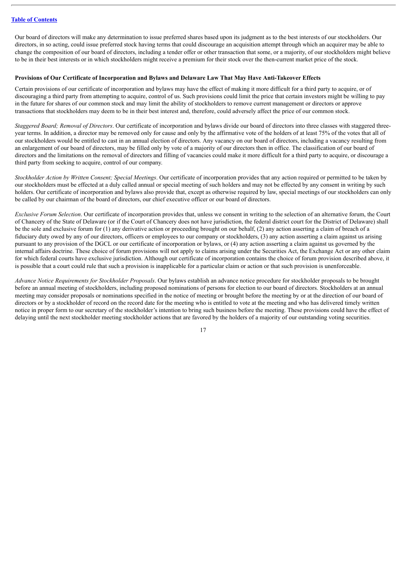Our board of directors will make any determination to issue preferred shares based upon its judgment as to the best interests of our stockholders. Our directors, in so acting, could issue preferred stock having terms that could discourage an acquisition attempt through which an acquirer may be able to change the composition of our board of directors, including a tender offer or other transaction that some, or a majority, of our stockholders might believe to be in their best interests or in which stockholders might receive a premium for their stock over the then-current market price of the stock.

#### **Provisions of Our Certificate of Incorporation and Bylaws and Delaware Law That May Have Anti-Takeover Effects**

Certain provisions of our certificate of incorporation and bylaws may have the effect of making it more difficult for a third party to acquire, or of discouraging a third party from attempting to acquire, control of us. Such provisions could limit the price that certain investors might be willing to pay in the future for shares of our common stock and may limit the ability of stockholders to remove current management or directors or approve transactions that stockholders may deem to be in their best interest and, therefore, could adversely affect the price of our common stock.

*Staggered Board; Removal of Directors*. Our certificate of incorporation and bylaws divide our board of directors into three classes with staggered threeyear terms. In addition, a director may be removed only for cause and only by the affirmative vote of the holders of at least 75% of the votes that all of our stockholders would be entitled to cast in an annual election of directors. Any vacancy on our board of directors, including a vacancy resulting from an enlargement of our board of directors, may be filled only by vote of a majority of our directors then in office. The classification of our board of directors and the limitations on the removal of directors and filling of vacancies could make it more difficult for a third party to acquire, or discourage a third party from seeking to acquire, control of our company.

*Stockholder Action by Written Consent; Special Meetings*. Our certificate of incorporation provides that any action required or permitted to be taken by our stockholders must be effected at a duly called annual or special meeting of such holders and may not be effected by any consent in writing by such holders. Our certificate of incorporation and bylaws also provide that, except as otherwise required by law, special meetings of our stockholders can only be called by our chairman of the board of directors, our chief executive officer or our board of directors.

*Exclusive Forum Selection*. Our certificate of incorporation provides that, unless we consent in writing to the selection of an alternative forum, the Court of Chancery of the State of Delaware (or if the Court of Chancery does not have jurisdiction, the federal district court for the District of Delaware) shall be the sole and exclusive forum for (1) any derivative action or proceeding brought on our behalf, (2) any action asserting a claim of breach of a fiduciary duty owed by any of our directors, officers or employees to our company or stockholders, (3) any action asserting a claim against us arising pursuant to any provision of the DGCL or our certificate of incorporation or bylaws, or (4) any action asserting a claim against us governed by the internal affairs doctrine. These choice of forum provisions will not apply to claims arising under the Securities Act, the Exchange Act or any other claim for which federal courts have exclusive jurisdiction. Although our certificate of incorporation contains the choice of forum provision described above, it is possible that a court could rule that such a provision is inapplicable for a particular claim or action or that such provision is unenforceable.

*Advance Notice Requirements for Stockholder Proposals*. Our bylaws establish an advance notice procedure for stockholder proposals to be brought before an annual meeting of stockholders, including proposed nominations of persons for election to our board of directors. Stockholders at an annual meeting may consider proposals or nominations specified in the notice of meeting or brought before the meeting by or at the direction of our board of directors or by a stockholder of record on the record date for the meeting who is entitled to vote at the meeting and who has delivered timely written notice in proper form to our secretary of the stockholder's intention to bring such business before the meeting. These provisions could have the effect of delaying until the next stockholder meeting stockholder actions that are favored by the holders of a majority of our outstanding voting securities.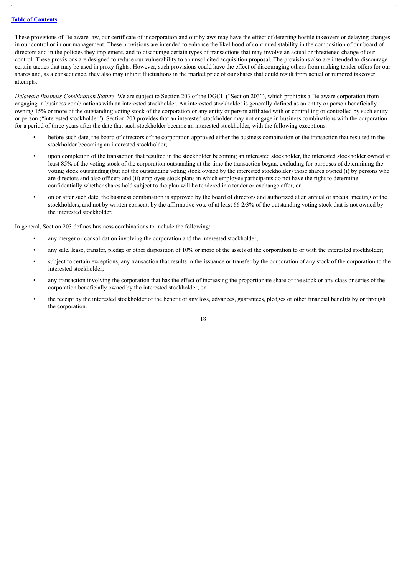These provisions of Delaware law, our certificate of incorporation and our bylaws may have the effect of deterring hostile takeovers or delaying changes in our control or in our management. These provisions are intended to enhance the likelihood of continued stability in the composition of our board of directors and in the policies they implement, and to discourage certain types of transactions that may involve an actual or threatened change of our control. These provisions are designed to reduce our vulnerability to an unsolicited acquisition proposal. The provisions also are intended to discourage certain tactics that may be used in proxy fights. However, such provisions could have the effect of discouraging others from making tender offers for our shares and, as a consequence, they also may inhibit fluctuations in the market price of our shares that could result from actual or rumored takeover attempts.

*Delaware Business Combination Statute*. We are subject to Section 203 of the DGCL ("Section 203"), which prohibits a Delaware corporation from engaging in business combinations with an interested stockholder. An interested stockholder is generally defined as an entity or person beneficially owning 15% or more of the outstanding voting stock of the corporation or any entity or person affiliated with or controlling or controlled by such entity or person ("interested stockholder"). Section 203 provides that an interested stockholder may not engage in business combinations with the corporation for a period of three years after the date that such stockholder became an interested stockholder, with the following exceptions:

- before such date, the board of directors of the corporation approved either the business combination or the transaction that resulted in the stockholder becoming an interested stockholder;
- upon completion of the transaction that resulted in the stockholder becoming an interested stockholder, the interested stockholder owned at least 85% of the voting stock of the corporation outstanding at the time the transaction began, excluding for purposes of determining the voting stock outstanding (but not the outstanding voting stock owned by the interested stockholder) those shares owned (i) by persons who are directors and also officers and (ii) employee stock plans in which employee participants do not have the right to determine confidentially whether shares held subject to the plan will be tendered in a tender or exchange offer; or
- on or after such date, the business combination is approved by the board of directors and authorized at an annual or special meeting of the stockholders, and not by written consent, by the affirmative vote of at least 66 2/3% of the outstanding voting stock that is not owned by the interested stockholder.

In general, Section 203 defines business combinations to include the following:

- any merger or consolidation involving the corporation and the interested stockholder;
- any sale, lease, transfer, pledge or other disposition of 10% or more of the assets of the corporation to or with the interested stockholder;
- subject to certain exceptions, any transaction that results in the issuance or transfer by the corporation of any stock of the corporation to the interested stockholder;
- any transaction involving the corporation that has the effect of increasing the proportionate share of the stock or any class or series of the corporation beneficially owned by the interested stockholder; or
- the receipt by the interested stockholder of the benefit of any loss, advances, guarantees, pledges or other financial benefits by or through the corporation.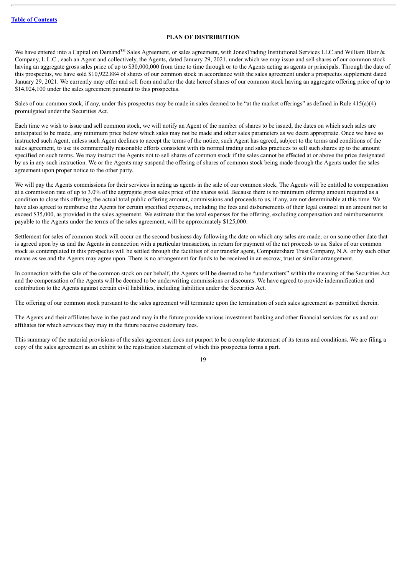## **PLAN OF DISTRIBUTION**

<span id="page-20-0"></span>We have entered into a Capital on Demand™ Sales Agreement, or sales agreement, with JonesTrading Institutional Services LLC and William Blair & Company, L.L.C., each an Agent and collectively, the Agents, dated January 29, 2021, under which we may issue and sell shares of our common stock having an aggregate gross sales price of up to \$30,000,000 from time to time through or to the Agents acting as agents or principals. Through the date of this prospectus, we have sold \$10,922,884 of shares of our common stock in accordance with the sales agreement under a prospectus supplement dated January 29, 2021. We currently may offer and sell from and after the date hereof shares of our common stock having an aggregate offering price of up to \$14,024,100 under the sales agreement pursuant to this prospectus.

Sales of our common stock, if any, under this prospectus may be made in sales deemed to be "at the market offerings" as defined in Rule 415(a)(4) promulgated under the Securities Act.

Each time we wish to issue and sell common stock, we will notify an Agent of the number of shares to be issued, the dates on which such sales are anticipated to be made, any minimum price below which sales may not be made and other sales parameters as we deem appropriate. Once we have so instructed such Agent, unless such Agent declines to accept the terms of the notice, such Agent has agreed, subject to the terms and conditions of the sales agreement, to use its commercially reasonable efforts consistent with its normal trading and sales practices to sell such shares up to the amount specified on such terms. We may instruct the Agents not to sell shares of common stock if the sales cannot be effected at or above the price designated by us in any such instruction. We or the Agents may suspend the offering of shares of common stock being made through the Agents under the sales agreement upon proper notice to the other party.

We will pay the Agents commissions for their services in acting as agents in the sale of our common stock. The Agents will be entitled to compensation at a commission rate of up to 3.0% of the aggregate gross sales price of the shares sold. Because there is no minimum offering amount required as a condition to close this offering, the actual total public offering amount, commissions and proceeds to us, if any, are not determinable at this time. We have also agreed to reimburse the Agents for certain specified expenses, including the fees and disbursements of their legal counsel in an amount not to exceed \$35,000, as provided in the sales agreement. We estimate that the total expenses for the offering, excluding compensation and reimbursements payable to the Agents under the terms of the sales agreement, will be approximately \$125,000.

Settlement for sales of common stock will occur on the second business day following the date on which any sales are made, or on some other date that is agreed upon by us and the Agents in connection with a particular transaction, in return for payment of the net proceeds to us. Sales of our common stock as contemplated in this prospectus will be settled through the facilities of our transfer agent, Computershare Trust Company, N.A. or by such other means as we and the Agents may agree upon. There is no arrangement for funds to be received in an escrow, trust or similar arrangement.

In connection with the sale of the common stock on our behalf, the Agents will be deemed to be "underwriters" within the meaning of the Securities Act and the compensation of the Agents will be deemed to be underwriting commissions or discounts. We have agreed to provide indemnification and contribution to the Agents against certain civil liabilities, including liabilities under the Securities Act.

The offering of our common stock pursuant to the sales agreement will terminate upon the termination of such sales agreement as permitted therein.

The Agents and their affiliates have in the past and may in the future provide various investment banking and other financial services for us and our affiliates for which services they may in the future receive customary fees.

This summary of the material provisions of the sales agreement does not purport to be a complete statement of its terms and conditions. We are filing a copy of the sales agreement as an exhibit to the registration statement of which this prospectus forms a part.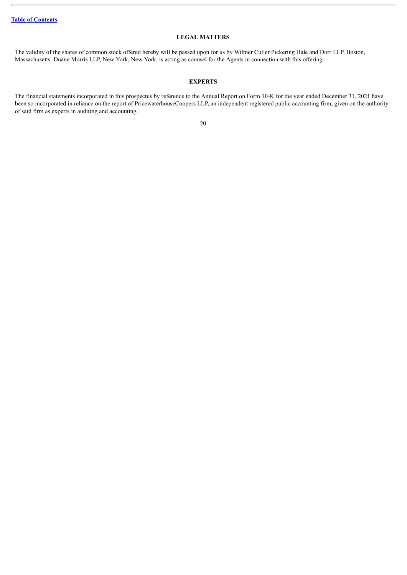## **LEGAL MATTERS**

<span id="page-21-0"></span>The validity of the shares of common stock offered hereby will be passed upon for us by Wilmer Cutler Pickering Hale and Dorr LLP, Boston, Massachusetts. Duane Morris LLP, New York, New York, is acting as counsel for the Agents in connection with this offering.

## **EXPERTS**

<span id="page-21-1"></span>The financial statements incorporated in this prospectus by reference to the Annual Report on Form 10-K for the year ended December 31, 2021 have been so incorporated in reliance on the report of PricewaterhouseCoopers LLP, an independent registered public accounting firm, given on the authority of said firm as experts in auditing and accounting.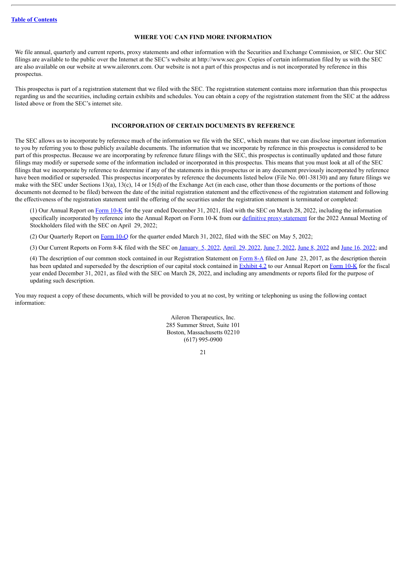## **WHERE YOU CAN FIND MORE INFORMATION**

<span id="page-22-0"></span>We file annual, quarterly and current reports, proxy statements and other information with the Securities and Exchange Commission, or SEC. Our SEC filings are available to the public over the Internet at the SEC's website at http://www.sec.gov. Copies of certain information filed by us with the SEC are also available on our website at www.aileronrx.com. Our website is not a part of this prospectus and is not incorporated by reference in this prospectus.

This prospectus is part of a registration statement that we filed with the SEC. The registration statement contains more information than this prospectus regarding us and the securities, including certain exhibits and schedules. You can obtain a copy of the registration statement from the SEC at the address listed above or from the SEC's internet site.

## **INCORPORATION OF CERTAIN DOCUMENTS BY REFERENCE**

<span id="page-22-1"></span>The SEC allows us to incorporate by reference much of the information we file with the SEC, which means that we can disclose important information to you by referring you to those publicly available documents. The information that we incorporate by reference in this prospectus is considered to be part of this prospectus. Because we are incorporating by reference future filings with the SEC, this prospectus is continually updated and those future filings may modify or supersede some of the information included or incorporated in this prospectus. This means that you must look at all of the SEC filings that we incorporate by reference to determine if any of the statements in this prospectus or in any document previously incorporated by reference have been modified or superseded. This prospectus incorporates by reference the documents listed below (File No. 001-38130) and any future filings we make with the SEC under Sections 13(a), 13(c), 14 or 15(d) of the Exchange Act (in each case, other than those documents or the portions of those documents not deemed to be filed) between the date of the initial registration statement and the effectiveness of the registration statement and following the effectiveness of the registration statement until the offering of the securities under the registration statement is terminated or completed:

(1) Our Annual Report on [Form](http://www.sec.gov/ix?doc=/Archives/edgar/data/1420565/000095017022004774/alrn-20211231.htm) 10-K for the year ended December 31, 2021, filed with the SEC on March 28, 2022, including the information specifically incorporated by reference into the Annual Report on Form 10-K from our [definitive](http://www.sec.gov/Archives/edgar/data/1420565/000119312522133908/d285680ddef14a.htm) proxy statement for the 2022 Annual Meeting of Stockholders filed with the SEC on April 29, 2022;

(2) Our Quarterly Report on [Form](http://www.sec.gov/ix?doc=/Archives/edgar/data/1420565/000095017022007793/alrn-20220331.htm) 10-Q for the quarter ended March 31, 2022, filed with the SEC on May 5, 2022;

(3) Our Current Reports on Form 8-K filed with the SEC on [January](http://www.sec.gov/ix?doc=/Archives/edgar/data/0001420565/000119312522002801/d26509d8k.htm) 5, 2022, [April](http://www.sec.gov/ix?doc=/Archives/edgar/data/0001420565/000119312522134322/d266198d8k.htm) 29, 2022, June 7, [2022,](http://www.sec.gov/ix?doc=/Archives/edgar/data/0001420565/000119312522168878/d323390d8k.htm) June 8, [2022](http://www.sec.gov/ix?doc=/Archives/edgar/data/1420565/000119312522170277/d368711d8k.htm) and June 16, [2022](http://www.sec.gov/ix?doc=/Archives/edgar/data/1420565/000119312522175284/d256872d8k.htm); and

(4) The description of our common stock contained in our Registration Statement on [Form](http://www.sec.gov/Archives/edgar/data/0001420565/000119312517211335/d403336d8a12b.htm) 8-A filed on June 23, 2017, as the description therein has been updated and superseded by the description of our capital stock contained in [Exhibit](http://www.sec.gov/Archives/edgar/data/0001420565/000156459020014155/alrn-ex43_729.htm) 4.2 to our Annual Report on [Form](http://www.sec.gov/ix?doc=/Archives/edgar/data/1420565/000095017022004774/alrn-20211231.htm) 10-K for the fiscal year ended December 31, 2021, as filed with the SEC on March 28, 2022, and including any amendments or reports filed for the purpose of updating such description.

You may request a copy of these documents, which will be provided to you at no cost, by writing or telephoning us using the following contact information:

> Aileron Therapeutics, Inc. 285 Summer Street, Suite 101 Boston, Massachusetts 02210 (617) 995-0900